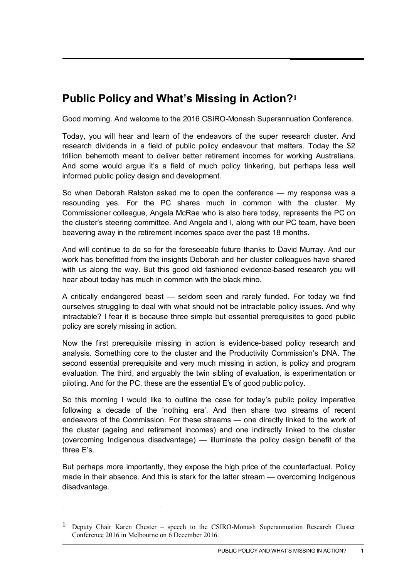## **Public Policy and What's Missing in Action?[1](#page-0-0)**

Good morning. And welcome to the 2016 CSIRO-Monash Superannuation Conference.

Today, you will hear and learn of the endeavors of the super research cluster. And research dividends in a field of public policy endeavour that matters. Today the \$2 trillion behemoth meant to deliver better retirement incomes for working Australians. And some would argue it's a field of much policy tinkering, but perhaps less well informed public policy design and development.

So when Deborah Ralston asked me to open the conference — my response was a resounding yes. For the PC shares much in common with the cluster. My Commissioner colleague, Angela McRae who is also here today, represents the PC on the cluster's steering committee. And Angela and I, along with our PC team, have been beavering away in the retirement incomes space over the past 18 months.

And will continue to do so for the foreseeable future thanks to David Murray. And our work has benefitted from the insights Deborah and her cluster colleagues have shared with us along the way. But this good old fashioned evidence-based research you will hear about today has much in common with the black rhino.

A critically endangered beast — seldom seen and rarely funded. For today we find ourselves struggling to deal with what should not be intractable policy issues. And why intractable? I fear it is because three simple but essential prerequisites to good public policy are sorely missing in action.

Now the first prerequisite missing in action is evidence-based policy research and analysis. Something core to the cluster and the Productivity Commission's DNA. The second essential prerequisite and very much missing in action, is policy and program evaluation. The third, and arguably the twin sibling of evaluation, is experimentation or piloting. And for the PC, these are the essential E's of good public policy.

So this morning I would like to outline the case for today's public policy imperative following a decade of the 'nothing era'. And then share two streams of recent endeavors of the Commission. For these streams — one directly linked to the work of the cluster (ageing and retirement incomes) and one indirectly linked to the cluster (overcoming Indigenous disadvantage) — illuminate the policy design benefit of the three E's.

But perhaps more importantly, they expose the high price of the counterfactual. Policy made in their absence. And this is stark for the latter stream — overcoming Indigenous disadvantage.

 $\overline{a}$ 

<span id="page-0-0"></span><sup>1</sup> Deputy Chair Karen Chester – speech to the CSIRO-Monash Superannuation Research Cluster Conference 2016 in Melbourne on 6 December 2016.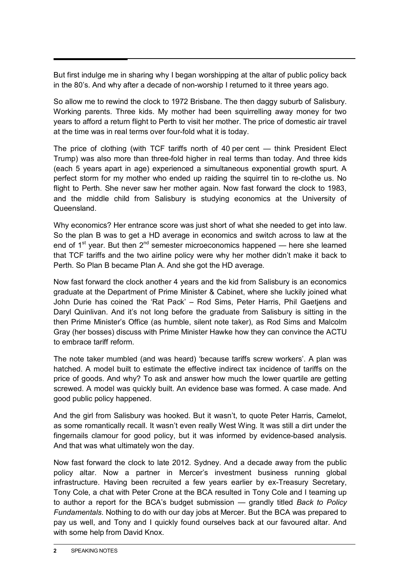But first indulge me in sharing why I began worshipping at the altar of public policy back in the 80's. And why after a decade of non-worship I returned to it three years ago.

So allow me to rewind the clock to 1972 Brisbane. The then daggy suburb of Salisbury. Working parents. Three kids. My mother had been squirrelling away money for two years to afford a return flight to Perth to visit her mother. The price of domestic air travel at the time was in real terms over four-fold what it is today.

The price of clothing (with TCF tariffs north of 40 per cent — think President Elect Trump) was also more than three-fold higher in real terms than today. And three kids (each 5 years apart in age) experienced a simultaneous exponential growth spurt. A perfect storm for my mother who ended up raiding the squirrel tin to re-clothe us. No flight to Perth. She never saw her mother again. Now fast forward the clock to 1983, and the middle child from Salisbury is studying economics at the University of **Queensland** 

Why economics? Her entrance score was just short of what she needed to get into law. So the plan B was to get a HD average in economics and switch across to law at the end of  $1<sup>st</sup>$  vear. But then  $2<sup>nd</sup>$  semester microeconomics happened — here she learned that TCF tariffs and the two airline policy were why her mother didn't make it back to Perth. So Plan B became Plan A. And she got the HD average.

Now fast forward the clock another 4 years and the kid from Salisbury is an economics graduate at the Department of Prime Minister & Cabinet, where she luckily joined what John Durie has coined the 'Rat Pack' – Rod Sims, Peter Harris, Phil Gaetjens and Daryl Quinlivan. And it's not long before the graduate from Salisbury is sitting in the then Prime Minister's Office (as humble, silent note taker), as Rod Sims and Malcolm Gray (her bosses) discuss with Prime Minister Hawke how they can convince the ACTU to embrace tariff reform.

The note taker mumbled (and was heard) 'because tariffs screw workers'. A plan was hatched. A model built to estimate the effective indirect tax incidence of tariffs on the price of goods. And why? To ask and answer how much the lower quartile are getting screwed. A model was quickly built. An evidence base was formed. A case made. And good public policy happened.

And the girl from Salisbury was hooked. But it wasn't, to quote Peter Harris, Camelot, as some romantically recall. It wasn't even really West Wing. It was still a dirt under the fingernails clamour for good policy, but it was informed by evidence-based analysis. And that was what ultimately won the day.

Now fast forward the clock to late 2012. Sydney. And a decade away from the public policy altar. Now a partner in Mercer's investment business running global infrastructure. Having been recruited a few years earlier by ex-Treasury Secretary, Tony Cole, a chat with Peter Crone at the BCA resulted in Tony Cole and I teaming up to author a report for the BCA's budget submission — grandly titled *Back to Policy Fundamentals*. Nothing to do with our day jobs at Mercer. But the BCA was prepared to pay us well, and Tony and I quickly found ourselves back at our favoured altar. And with some help from David Knox.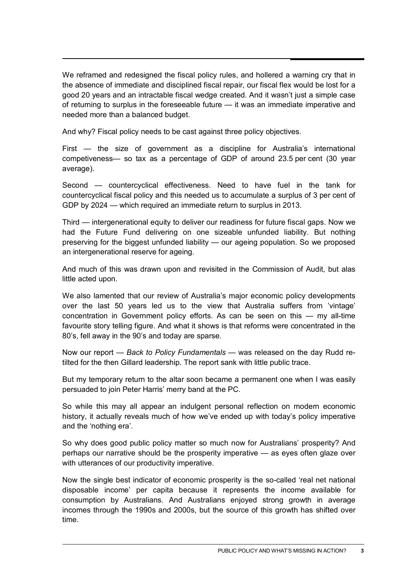We reframed and redesigned the fiscal policy rules, and hollered a warning cry that in the absence of immediate and disciplined fiscal repair, our fiscal flex would be lost for a good 20 years and an intractable fiscal wedge created. And it wasn't just a simple case of returning to surplus in the foreseeable future — it was an immediate imperative and needed more than a balanced budget.

And why? Fiscal policy needs to be cast against three policy objectives.

First — the size of government as a discipline for Australia's international competiveness— so tax as a percentage of GDP of around 23.5 per cent (30 year average).

Second — countercyclical effectiveness. Need to have fuel in the tank for countercyclical fiscal policy and this needed us to accumulate a surplus of 3 per cent of GDP by 2024 — which required an immediate return to surplus in 2013.

Third — intergenerational equity to deliver our readiness for future fiscal gaps. Now we had the Future Fund delivering on one sizeable unfunded liability. But nothing preserving for the biggest unfunded liability — our ageing population. So we proposed an intergenerational reserve for ageing.

And much of this was drawn upon and revisited in the Commission of Audit, but alas little acted upon.

We also lamented that our review of Australia's major economic policy developments over the last 50 years led us to the view that Australia suffers from 'vintage' concentration in Government policy efforts. As can be seen on this — my all-time favourite story telling figure. And what it shows is that reforms were concentrated in the 80's, fell away in the 90's and today are sparse.

Now our report — *Back to Policy Fundamentals* — was released on the day Rudd retilted for the then Gillard leadership. The report sank with little public trace.

But my temporary return to the altar soon became a permanent one when I was easily persuaded to join Peter Harris' merry band at the PC.

So while this may all appear an indulgent personal reflection on modern economic history, it actually reveals much of how we've ended up with today's policy imperative and the 'nothing era'.

So why does good public policy matter so much now for Australians' prosperity? And perhaps our narrative should be the prosperity imperative — as eyes often glaze over with utterances of our productivity imperative.

Now the single best indicator of economic prosperity is the so-called 'real net national disposable income' per capita because it represents the income available for consumption by Australians. And Australians enjoyed strong growth in average incomes through the 1990s and 2000s, but the source of this growth has shifted over time.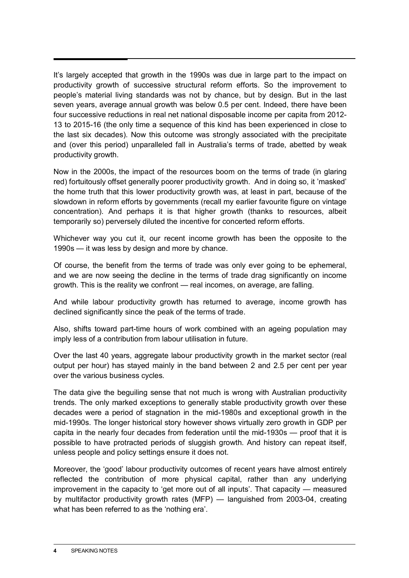It's largely accepted that growth in the 1990s was due in large part to the impact on productivity growth of successive structural reform efforts. So the improvement to people's material living standards was not by chance, but by design. But in the last seven years, average annual growth was below 0.5 per cent. Indeed, there have been four successive reductions in real net national disposable income per capita from 2012- 13 to 2015-16 (the only time a sequence of this kind has been experienced in close to the last six decades). Now this outcome was strongly associated with the precipitate and (over this period) unparalleled fall in Australia's terms of trade, abetted by weak productivity growth.

Now in the 2000s, the impact of the resources boom on the terms of trade (in glaring red) fortuitously offset generally poorer productivity growth. And in doing so, it 'masked' the home truth that this lower productivity growth was, at least in part, because of the slowdown in reform efforts by governments (recall my earlier favourite figure on vintage concentration). And perhaps it is that higher growth (thanks to resources, albeit temporarily so) perversely diluted the incentive for concerted reform efforts.

Whichever way you cut it, our recent income growth has been the opposite to the 1990s — it was less by design and more by chance.

Of course, the benefit from the terms of trade was only ever going to be ephemeral, and we are now seeing the decline in the terms of trade drag significantly on income growth. This is the reality we confront — real incomes, on average, are falling.

And while labour productivity growth has returned to average, income growth has declined significantly since the peak of the terms of trade.

Also, shifts toward part-time hours of work combined with an ageing population may imply less of a contribution from labour utilisation in future.

Over the last 40 years, aggregate labour productivity growth in the market sector (real output per hour) has stayed mainly in the band between 2 and 2.5 per cent per year over the various business cycles.

The data give the beguiling sense that not much is wrong with Australian productivity trends. The only marked exceptions to generally stable productivity growth over these decades were a period of stagnation in the mid-1980s and exceptional growth in the mid-1990s. The longer historical story however shows virtually zero growth in GDP per capita in the nearly four decades from federation until the mid-1930s — proof that it is possible to have protracted periods of sluggish growth. And history can repeat itself, unless people and policy settings ensure it does not.

Moreover, the 'good' labour productivity outcomes of recent years have almost entirely reflected the contribution of more physical capital, rather than any underlying improvement in the capacity to 'get more out of all inputs'. That capacity — measured by multifactor productivity growth rates (MFP) — languished from 2003-04, creating what has been referred to as the 'nothing era'.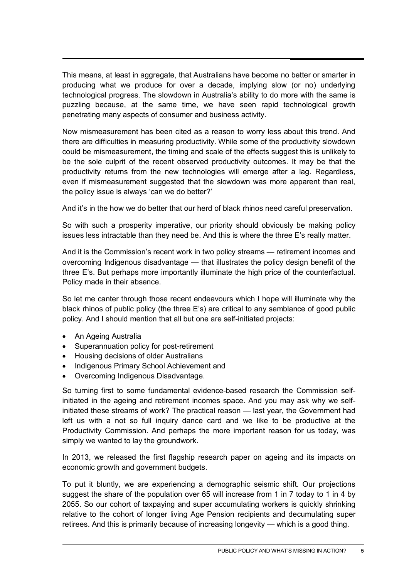This means, at least in aggregate, that Australians have become no better or smarter in producing what we produce for over a decade, implying slow (or no) underlying technological progress. The slowdown in Australia's ability to do more with the same is puzzling because, at the same time, we have seen rapid technological growth penetrating many aspects of consumer and business activity.

Now mismeasurement has been cited as a reason to worry less about this trend. And there are difficulties in measuring productivity. While some of the productivity slowdown could be mismeasurement, the timing and scale of the effects suggest this is unlikely to be the sole culprit of the recent observed productivity outcomes. It may be that the productivity returns from the new technologies will emerge after a lag. Regardless, even if mismeasurement suggested that the slowdown was more apparent than real, the policy issue is always 'can we do better?'

And it's in the how we do better that our herd of black rhinos need careful preservation.

So with such a prosperity imperative, our priority should obviously be making policy issues less intractable than they need be. And this is where the three E's really matter.

And it is the Commission's recent work in two policy streams — retirement incomes and overcoming Indigenous disadvantage — that illustrates the policy design benefit of the three E's. But perhaps more importantly illuminate the high price of the counterfactual. Policy made in their absence.

So let me canter through those recent endeavours which I hope will illuminate why the black rhinos of public policy (the three E's) are critical to any semblance of good public policy. And I should mention that all but one are self-initiated projects:

- An Ageing Australia
- Superannuation policy for post-retirement
- Housing decisions of older Australians
- Indigenous Primary School Achievement and
- Overcoming Indigenous Disadvantage.

So turning first to some fundamental evidence-based research the Commission selfinitiated in the ageing and retirement incomes space. And you may ask why we selfinitiated these streams of work? The practical reason — last year, the Government had left us with a not so full inquiry dance card and we like to be productive at the Productivity Commission. And perhaps the more important reason for us today, was simply we wanted to lay the groundwork.

In 2013, we released the first flagship research paper on ageing and its impacts on economic growth and government budgets.

To put it bluntly, we are experiencing a demographic seismic shift. Our projections suggest the share of the population over 65 will increase from 1 in 7 today to 1 in 4 by 2055. So our cohort of taxpaying and super accumulating workers is quickly shrinking relative to the cohort of longer living Age Pension recipients and decumulating super retirees. And this is primarily because of increasing longevity — which is a good thing.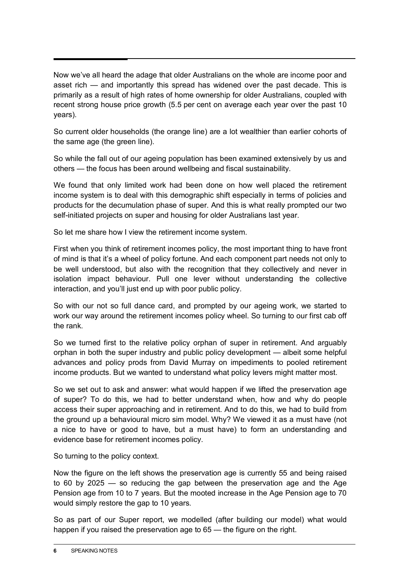Now we've all heard the adage that older Australians on the whole are income poor and asset rich — and importantly this spread has widened over the past decade. This is primarily as a result of high rates of home ownership for older Australians, coupled with recent strong house price growth (5.5 per cent on average each year over the past 10 years).

So current older households (the orange line) are a lot wealthier than earlier cohorts of the same age (the green line).

So while the fall out of our ageing population has been examined extensively by us and others — the focus has been around wellbeing and fiscal sustainability.

We found that only limited work had been done on how well placed the retirement income system is to deal with this demographic shift especially in terms of policies and products for the decumulation phase of super. And this is what really prompted our two self-initiated projects on super and housing for older Australians last year.

So let me share how I view the retirement income system.

First when you think of retirement incomes policy, the most important thing to have front of mind is that it's a wheel of policy fortune. And each component part needs not only to be well understood, but also with the recognition that they collectively and never in isolation impact behaviour. Pull one lever without understanding the collective interaction, and you'll just end up with poor public policy.

So with our not so full dance card, and prompted by our ageing work, we started to work our way around the retirement incomes policy wheel. So turning to our first cab off the rank.

So we turned first to the relative policy orphan of super in retirement. And arguably orphan in both the super industry and public policy development — albeit some helpful advances and policy prods from David Murray on impediments to pooled retirement income products. But we wanted to understand what policy levers might matter most.

So we set out to ask and answer: what would happen if we lifted the preservation age of super? To do this, we had to better understand when, how and why do people access their super approaching and in retirement. And to do this, we had to build from the ground up a behavioural micro sim model. Why? We viewed it as a must have (not a nice to have or good to have, but a must have) to form an understanding and evidence base for retirement incomes policy.

So turning to the policy context.

Now the figure on the left shows the preservation age is currently 55 and being raised to 60 by 2025 — so reducing the gap between the preservation age and the Age Pension age from 10 to 7 years. But the mooted increase in the Age Pension age to 70 would simply restore the gap to 10 years.

So as part of our Super report, we modelled (after building our model) what would happen if you raised the preservation age to 65 — the figure on the right.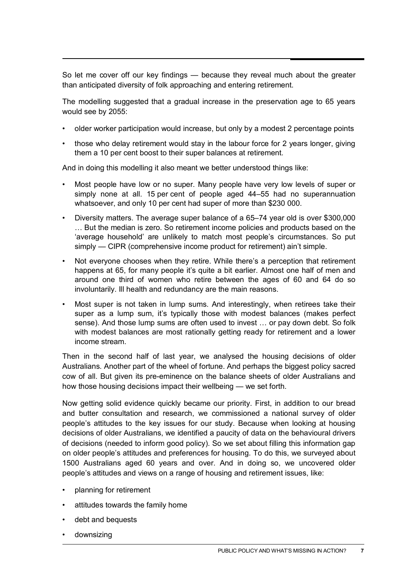So let me cover off our key findings — because they reveal much about the greater than anticipated diversity of folk approaching and entering retirement.

The modelling suggested that a gradual increase in the preservation age to 65 years would see by 2055:

- older worker participation would increase, but only by a modest 2 percentage points
- those who delay retirement would stay in the labour force for 2 years longer, giving them a 10 per cent boost to their super balances at retirement.

And in doing this modelling it also meant we better understood things like:

- Most people have low or no super. Many people have very low levels of super or simply none at all. 15 per cent of people aged 44–55 had no superannuation whatsoever, and only 10 per cent had super of more than \$230 000.
- Diversity matters. The average super balance of a 65–74 year old is over \$300,000 … But the median is zero. So retirement income policies and products based on the 'average household' are unlikely to match most people's circumstances. So put simply — CIPR (comprehensive income product for retirement) ain't simple.
- Not everyone chooses when they retire. While there's a perception that retirement happens at 65, for many people it's quite a bit earlier. Almost one half of men and around one third of women who retire between the ages of 60 and 64 do so involuntarily. Ill health and redundancy are the main reasons.
- Most super is not taken in lump sums. And interestingly, when retirees take their super as a lump sum, it's typically those with modest balances (makes perfect sense). And those lump sums are often used to invest … or pay down debt. So folk with modest balances are most rationally getting ready for retirement and a lower income stream.

Then in the second half of last year, we analysed the housing decisions of older Australians. Another part of the wheel of fortune. And perhaps the biggest policy sacred cow of all. But given its pre-eminence on the balance sheets of older Australians and how those housing decisions impact their wellbeing — we set forth.

Now getting solid evidence quickly became our priority. First, in addition to our bread and butter consultation and research, we commissioned a national survey of older people's attitudes to the key issues for our study. Because when looking at housing decisions of older Australians, we identified a paucity of data on the behavioural drivers of decisions (needed to inform good policy). So we set about filling this information gap on older people's attitudes and preferences for housing. To do this, we surveyed about 1500 Australians aged 60 years and over. And in doing so, we uncovered older people's attitudes and views on a range of housing and retirement issues, like:

- planning for retirement
- attitudes towards the family home
- debt and bequests
- downsizing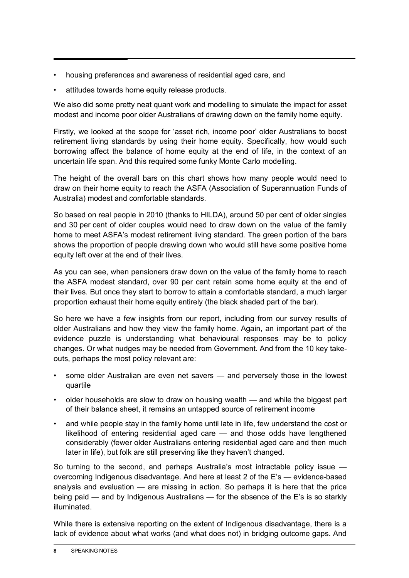- housing preferences and awareness of residential aged care, and
- attitudes towards home equity release products.

We also did some pretty neat quant work and modelling to simulate the impact for asset modest and income poor older Australians of drawing down on the family home equity.

Firstly, we looked at the scope for 'asset rich, income poor' older Australians to boost retirement living standards by using their home equity. Specifically, how would such borrowing affect the balance of home equity at the end of life, in the context of an uncertain life span. And this required some funky Monte Carlo modelling.

The height of the overall bars on this chart shows how many people would need to draw on their home equity to reach the ASFA (Association of Superannuation Funds of Australia) modest and comfortable standards.

So based on real people in 2010 (thanks to HILDA), around 50 per cent of older singles and 30 per cent of older couples would need to draw down on the value of the family home to meet ASFA's modest retirement living standard. The green portion of the bars shows the proportion of people drawing down who would still have some positive home equity left over at the end of their lives.

As you can see, when pensioners draw down on the value of the family home to reach the ASFA modest standard, over 90 per cent retain some home equity at the end of their lives. But once they start to borrow to attain a comfortable standard, a much larger proportion exhaust their home equity entirely (the black shaded part of the bar).

So here we have a few insights from our report, including from our survey results of older Australians and how they view the family home. Again, an important part of the evidence puzzle is understanding what behavioural responses may be to policy changes. Or what nudges may be needed from Government. And from the 10 key takeouts, perhaps the most policy relevant are:

- some older Australian are even net savers and perversely those in the lowest quartile
- older households are slow to draw on housing wealth and while the biggest part of their balance sheet, it remains an untapped source of retirement income
- and while people stay in the family home until late in life, few understand the cost or likelihood of entering residential aged care — and those odds have lengthened considerably (fewer older Australians entering residential aged care and then much later in life), but folk are still preserving like they haven't changed.

So turning to the second, and perhaps Australia's most intractable policy issue overcoming Indigenous disadvantage. And here at least 2 of the E's — evidence-based analysis and evaluation — are missing in action. So perhaps it is here that the price being paid — and by Indigenous Australians — for the absence of the E's is so starkly illuminated.

While there is extensive reporting on the extent of Indigenous disadvantage, there is a lack of evidence about what works (and what does not) in bridging outcome gaps. And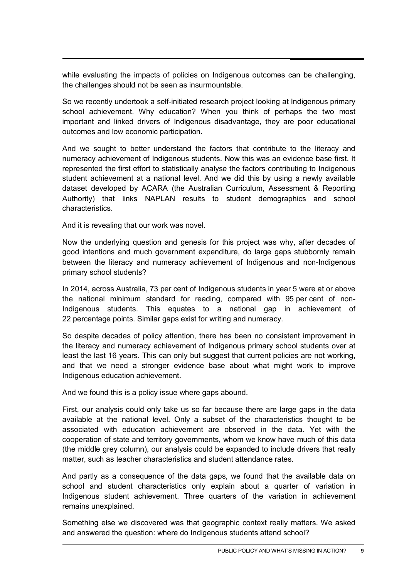while evaluating the impacts of policies on Indigenous outcomes can be challenging, the challenges should not be seen as insurmountable.

So we recently undertook a self-initiated research project looking at Indigenous primary school achievement. Why education? When you think of perhaps the two most important and linked drivers of Indigenous disadvantage, they are poor educational outcomes and low economic participation.

And we sought to better understand the factors that contribute to the literacy and numeracy achievement of Indigenous students. Now this was an evidence base first. It represented the first effort to statistically analyse the factors contributing to Indigenous student achievement at a national level. And we did this by using a newly available dataset developed by ACARA (the Australian Curriculum, Assessment & Reporting Authority) that links NAPLAN results to student demographics and school characteristics.

And it is revealing that our work was novel.

Now the underlying question and genesis for this project was why, after decades of good intentions and much government expenditure, do large gaps stubbornly remain between the literacy and numeracy achievement of Indigenous and non-Indigenous primary school students?

In 2014, across Australia, 73 per cent of Indigenous students in year 5 were at or above the national minimum standard for reading, compared with 95 per cent of non-Indigenous students. This equates to a national gap in achievement of 22 percentage points. Similar gaps exist for writing and numeracy.

So despite decades of policy attention, there has been no consistent improvement in the literacy and numeracy achievement of Indigenous primary school students over at least the last 16 years. This can only but suggest that current policies are not working, and that we need a stronger evidence base about what might work to improve Indigenous education achievement.

And we found this is a policy issue where gaps abound.

First, our analysis could only take us so far because there are large gaps in the data available at the national level. Only a subset of the characteristics thought to be associated with education achievement are observed in the data. Yet with the cooperation of state and territory governments, whom we know have much of this data (the middle grey column), our analysis could be expanded to include drivers that really matter, such as teacher characteristics and student attendance rates.

And partly as a consequence of the data gaps, we found that the available data on school and student characteristics only explain about a quarter of variation in Indigenous student achievement. Three quarters of the variation in achievement remains unexplained.

Something else we discovered was that geographic context really matters. We asked and answered the question: where do Indigenous students attend school?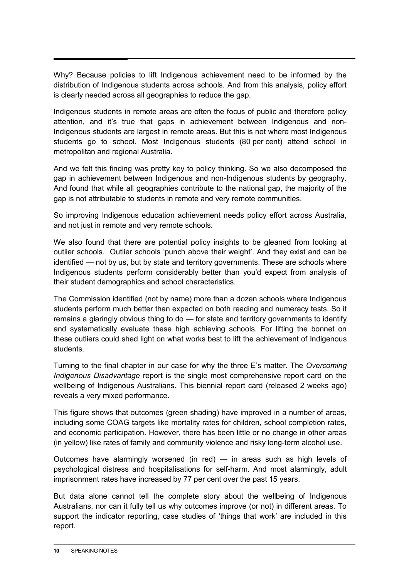Why? Because policies to lift Indigenous achievement need to be informed by the distribution of Indigenous students across schools. And from this analysis, policy effort is clearly needed across all geographies to reduce the gap.

Indigenous students in remote areas are often the focus of public and therefore policy attention, and it's true that gaps in achievement between Indigenous and non-Indigenous students are largest in remote areas. But this is not where most Indigenous students go to school. Most Indigenous students (80 per cent) attend school in metropolitan and regional Australia.

And we felt this finding was pretty key to policy thinking. So we also decomposed the gap in achievement between Indigenous and non-Indigenous students by geography. And found that while all geographies contribute to the national gap, the majority of the gap is not attributable to students in remote and very remote communities.

So improving Indigenous education achievement needs policy effort across Australia, and not just in remote and very remote schools.

We also found that there are potential policy insights to be gleaned from looking at outlier schools. Outlier schools 'punch above their weight'. And they exist and can be identified — not by us, but by state and territory governments. These are schools where Indigenous students perform considerably better than you'd expect from analysis of their student demographics and school characteristics.

The Commission identified (not by name) more than a dozen schools where Indigenous students perform much better than expected on both reading and numeracy tests. So it remains a glaringly obvious thing to do — for state and territory governments to identify and systematically evaluate these high achieving schools. For lifting the bonnet on these outliers could shed light on what works best to lift the achievement of Indigenous students.

Turning to the final chapter in our case for why the three E's matter. The *Overcoming Indigenous Disadvantage* report is the single most comprehensive report card on the wellbeing of Indigenous Australians. This biennial report card (released 2 weeks ago) reveals a very mixed performance.

This figure shows that outcomes (green shading) have improved in a number of areas, including some COAG targets like mortality rates for children, school completion rates, and economic participation. However, there has been little or no change in other areas (in yellow) like rates of family and community violence and risky long-term alcohol use.

Outcomes have alarmingly worsened (in red) — in areas such as high levels of psychological distress and hospitalisations for self-harm. And most alarmingly, adult imprisonment rates have increased by 77 per cent over the past 15 years.

But data alone cannot tell the complete story about the wellbeing of Indigenous Australians, nor can it fully tell us why outcomes improve (or not) in different areas. To support the indicator reporting, case studies of 'things that work' are included in this report.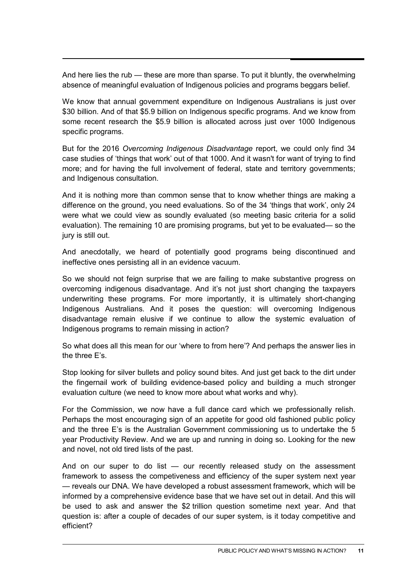And here lies the rub — these are more than sparse. To put it bluntly, the overwhelming absence of meaningful evaluation of Indigenous policies and programs beggars belief.

We know that annual government expenditure on Indigenous Australians is just over \$30 billion. And of that \$5.9 billion on Indigenous specific programs. And we know from some recent research the \$5.9 billion is allocated across just over 1000 Indigenous specific programs.

But for the 2016 *Overcoming Indigenous Disadvantage* report, we could only find 34 case studies of 'things that work' out of that 1000. And it wasn't for want of trying to find more; and for having the full involvement of federal, state and territory governments; and Indigenous consultation.

And it is nothing more than common sense that to know whether things are making a difference on the ground, you need evaluations. So of the 34 'things that work', only 24 were what we could view as soundly evaluated (so meeting basic criteria for a solid evaluation). The remaining 10 are promising programs, but yet to be evaluated— so the jury is still out.

And anecdotally, we heard of potentially good programs being discontinued and ineffective ones persisting all in an evidence vacuum.

So we should not feign surprise that we are failing to make substantive progress on overcoming indigenous disadvantage. And it's not just short changing the taxpayers underwriting these programs. For more importantly, it is ultimately short-changing Indigenous Australians. And it poses the question: will overcoming Indigenous disadvantage remain elusive if we continue to allow the systemic evaluation of Indigenous programs to remain missing in action?

So what does all this mean for our 'where to from here'? And perhaps the answer lies in the three E's.

Stop looking for silver bullets and policy sound bites. And just get back to the dirt under the fingernail work of building evidence-based policy and building a much stronger evaluation culture (we need to know more about what works and why).

For the Commission, we now have a full dance card which we professionally relish. Perhaps the most encouraging sign of an appetite for good old fashioned public policy and the three E's is the Australian Government commissioning us to undertake the 5 year Productivity Review. And we are up and running in doing so. Looking for the new and novel, not old tired lists of the past.

And on our super to do list — our recently released study on the assessment framework to assess the competiveness and efficiency of the super system next year — reveals our DNA. We have developed a robust assessment framework, which will be informed by a comprehensive evidence base that we have set out in detail. And this will be used to ask and answer the \$2 trillion question sometime next year. And that question is: after a couple of decades of our super system, is it today competitive and efficient?